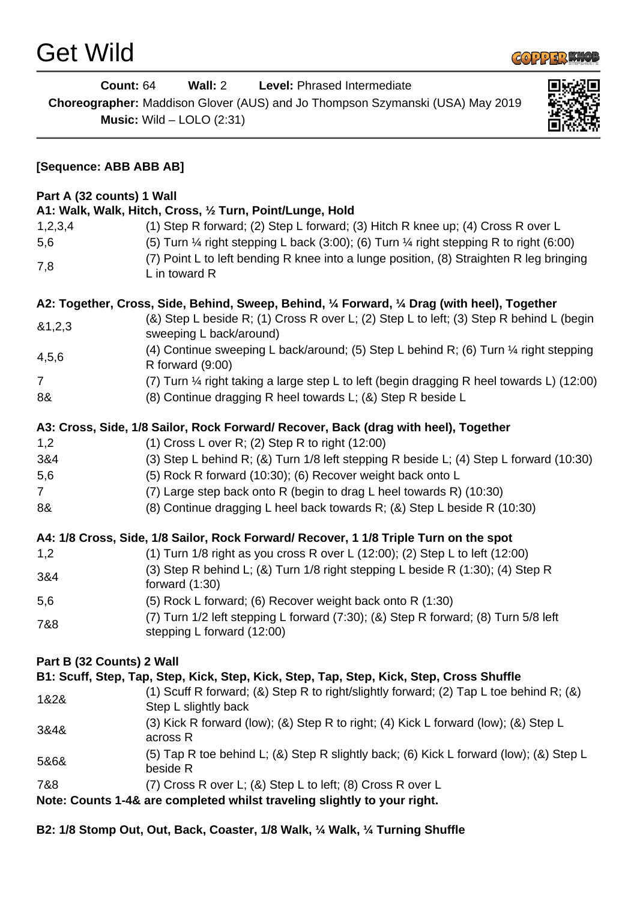

|                           | <b>Count: 64</b><br>Wall: $2$<br>Level: Phrased Intermediate<br>Choreographer: Maddison Glover (AUS) and Jo Thompson Szymanski (USA) May 2019<br><b>Music:</b> Wild $-$ LOLO (2:31)                        |  |
|---------------------------|------------------------------------------------------------------------------------------------------------------------------------------------------------------------------------------------------------|--|
| [Sequence: ABB ABB AB]    |                                                                                                                                                                                                            |  |
| Part A (32 counts) 1 Wall |                                                                                                                                                                                                            |  |
|                           | A1: Walk, Walk, Hitch, Cross, 1/2 Turn, Point/Lunge, Hold                                                                                                                                                  |  |
| 1,2,3,4                   | (1) Step R forward; (2) Step L forward; (3) Hitch R knee up; (4) Cross R over L                                                                                                                            |  |
| 5,6                       | (5) Turn $\frac{1}{4}$ right stepping L back (3:00); (6) Turn $\frac{1}{4}$ right stepping R to right (6:00)                                                                                               |  |
| 7,8                       | (7) Point L to left bending R knee into a lunge position, (8) Straighten R leg bringing<br>L in toward R                                                                                                   |  |
|                           | A2: Together, Cross, Side, Behind, Sweep, Behind, 1/4 Forward, 1/4 Drag (with heel), Together                                                                                                              |  |
| 81,2,3                    | (&) Step L beside R; (1) Cross R over L; (2) Step L to left; (3) Step R behind L (begin<br>sweeping L back/around)                                                                                         |  |
| 4,5,6                     | (4) Continue sweeping L back/around; (5) Step L behind R; (6) Turn 1/4 right stepping<br>R forward (9:00)                                                                                                  |  |
| $\overline{7}$            | (7) Turn 1/4 right taking a large step L to left (begin dragging R heel towards L) (12:00)                                                                                                                 |  |
| 8&                        | (8) Continue dragging R heel towards L; (&) Step R beside L                                                                                                                                                |  |
|                           | A3: Cross, Side, 1/8 Sailor, Rock Forward/ Recover, Back (drag with heel), Together                                                                                                                        |  |
| 1,2                       | $(1)$ Cross L over R; $(2)$ Step R to right $(12:00)$                                                                                                                                                      |  |
| 3&4                       | (3) Step L behind R; (&) Turn 1/8 left stepping R beside L; (4) Step L forward (10:30)                                                                                                                     |  |
| 5,6                       | (5) Rock R forward (10:30); (6) Recover weight back onto L                                                                                                                                                 |  |
| $\overline{7}$            | (7) Large step back onto R (begin to drag L heel towards R) (10:30)                                                                                                                                        |  |
| 8&                        | (8) Continue dragging L heel back towards R; (&) Step L beside R (10:30)                                                                                                                                   |  |
|                           | A4: 1/8 Cross, Side, 1/8 Sailor, Rock Forward/ Recover, 1 1/8 Triple Turn on the spot                                                                                                                      |  |
| 1,2                       | (1) Turn 1/8 right as you cross R over L (12:00); (2) Step L to left (12:00)                                                                                                                               |  |
| 3&4                       | (3) Step R behind L; (&) Turn 1/8 right stepping L beside R (1:30); (4) Step R<br>forward $(1:30)$                                                                                                         |  |
| 5,6                       | (5) Rock L forward; (6) Recover weight back onto R (1:30)                                                                                                                                                  |  |
| 7&8                       | (7) Turn 1/2 left stepping L forward (7:30); (&) Step R forward; (8) Turn 5/8 left<br>stepping L forward (12:00)                                                                                           |  |
| Part B (32 Counts) 2 Wall |                                                                                                                                                                                                            |  |
| 1&2&                      | B1: Scuff, Step, Tap, Step, Kick, Step, Kick, Step, Tap, Step, Kick, Step, Cross Shuffle<br>(1) Scuff R forward; (&) Step R to right/slightly forward; (2) Tap L toe behind R; (&)<br>Step L slightly back |  |
| 3&4&                      | (3) Kick R forward (low); (&) Step R to right; (4) Kick L forward (low); (&) Step L<br>across R                                                                                                            |  |
| 5&6&                      | (5) Tap R toe behind L; (&) Step R slightly back; (6) Kick L forward (low); (&) Step L<br>beside R                                                                                                         |  |
| 7&8                       | $(7)$ Cross R over L; $(8)$ Step L to left; $(8)$ Cross R over L                                                                                                                                           |  |
|                           | Note: Counts 1-4& are completed whilst traveling slightly to your right.                                                                                                                                   |  |

**B2: 1/8 Stomp Out, Out, Back, Coaster, 1/8 Walk, ¼ Walk, ¼ Turning Shuffle**